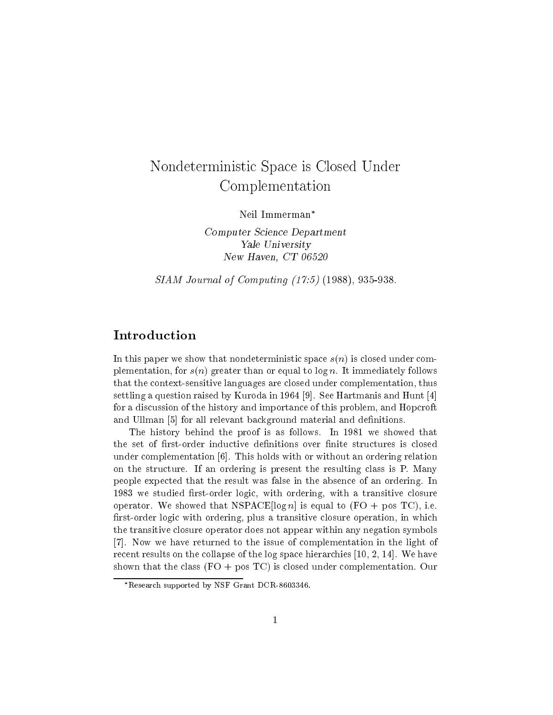# Nondeterministic Space is Closed Under Complementation

Neil Immerman

Computer Science Department Yale University New Haven CT -

SIAM Journal of Computing - - -- 

## Introduction

In this paper we show that nondeterministic space  $s(n)$  is closed under complementation, for  $s(n)$  greater than or equal to  $\log n$ . It immediately follows that the context-sensitive languages are closed under complementation thus settling a question raised by Kuroda in Andrea in Andrea in Andrea in Andrea in Andrea in Andrea in Hun for a discussion of the history and importance of this problem, and Hopcroft and Ulliman of the Call relevant background material and defined material and defined material and defined and

The history behind the proof is as follows. In 1981 we showed that under complementation of the complementation or with ordering relationships or with an ordering relationships o on the structure. If an ordering is present the resulting class is  $P$ . Many people expected that the result was false in the absence of an ordering. In we studied the studies of the studies with order that the studies with ordering with a transitive complete the operator We showed that NSPACE is equal to FO is to FO is the Research of the Second to FO is the Second to FO rst-order logic with ordering plus a transitive closure operation in which the transitive closure operator does not appear within any negation symbols Now we have returned to the issue of complementation in the light of recent results on the collapse of the log space of the log space in the log space of the log space of the log shown that the class  $(FO + pos TC)$  is closed under complementation. Our

Research supported by NSF Grant DCR-8603346.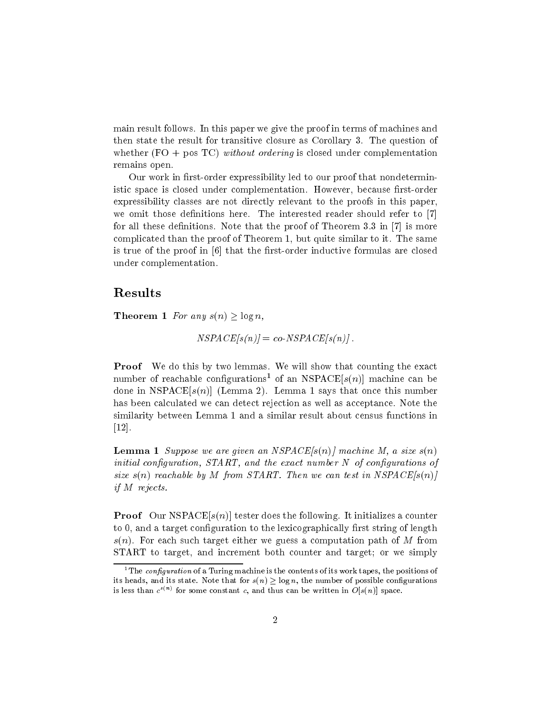main result follows In this paper we give the proof in terms of machines and then state the result for transitive closure as Corollary 3. The question of whether  $(FO + pos TC)$  without ordering is closed under complementation remains open

Our work in rst-order expressibility led to our proof that nondeterministic space is closed under complementation However because rst-order expressibility classes are not directly relevant to the proofs in this paper we omit those definitions here. The interested reader should refer to [7] for all these definitions is the theorem in the proof of Theorem II is more that the more is a second the proof complicated than the proof of Theorem 1, but quite similar to it. The same is true of the proof in a that the model in the formulas are closed view of the control of the control of the c under complementation

### Results

**Theorem 1** For any  $s(n) \geq \log n$ ,

$$
NSPACE[s(n)] = co-NSPACE[s(n)].
$$

**Proof** We do this by two lemmas. We will show that counting the exact number of reachable configurations of an  $NSTACE[\mathcal{S}(n)]$  machine can be done in NSPACE in NSPACE in NSPACE in NSPACE in NSPACE in NSPACE in NSPACE in NSPACE in NSPACE in NSPACE in NS has been calculated we can detect rejection as well as acceptance. Note the similarity between Lemma 1 and a similar result about census functions in \_\_\_\_\_

**Lemma 1** Suppose we are given an NSPACE $[s(n)]$  machine M, a size  $s(n)$ initial configuration.  $START$ , and the exact number  $N$  of configurations of size  $s(n)$  reachable by M from START. Then we can test in NSPACE $[s(n)]$ if M rejects

Proof Our NSPACE sn tester does the following It initializes a counter to 0, and a target configuration to the lexicographically first string of length  $s(n)$ . For each such target either we guess a computation path of M from START to target, and increment both counter and target; or we simply

The connewtation of a Turing machine is the contents of its work tapes, the positions of  $\,$ its heads, and its state. Fore that for  $s(n) > \log n$ , the number of possible configurations is less than  $c^{\gamma + \gamma}$  for some constant c, and thus can be written in  $O(s(n))$  space.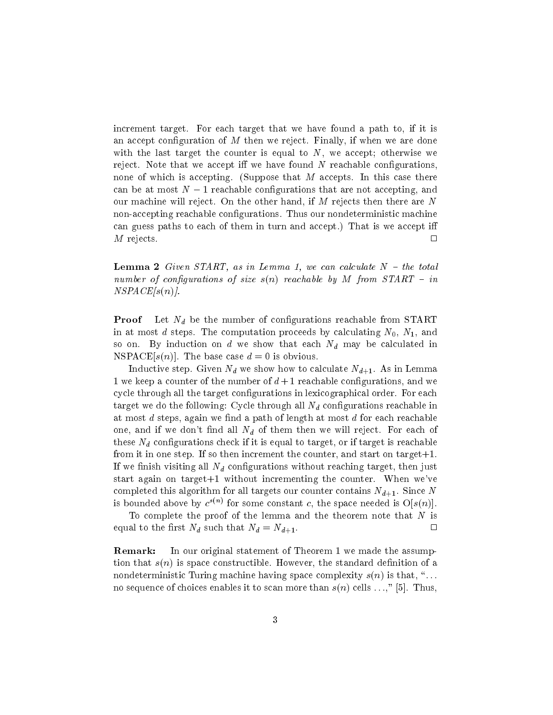increment target. For each target that we have found a path to, if it is an accept configuration of  $M$  then we reject. Finally, if when we are done with the last target the counter is equal to  $N$ , we accept; otherwise we reject. Note that we accept iff we have found  $N$  reachable configurations, none of which is accepting. (Suppose that  $M$  accepts. In this case there can be at most  $N-1$  reachable configurations that are not accepting, and our machine will reject. On the other hand, if M rejects then there are N non-accepting reachable congurations Thus our nondeterministic machine can guess paths to each of them in turn and accept.) That is we accept iff  $M$  rejects.  $\square$ 

**Lemma 2** Given START, as in Lemma 1, we can calculate  $N -$  the total number of configurations of size  $s(n)$  reachable by M from  $START - in$  $NSPACE[s(n)].$ 

**Proof** Let  $N_d$  be the number of configurations reachable from START in at most d steps. The computation proceeds by calculating  $N_0$ ,  $N_1$ , and so on. By induction on d we show that each  $N_d$  may be calculated in NSPACE In the base case case of the base case of the base case of the base case of the base case of the base o

Inductive step Given National Association of the National Association of the National Association of the National Association of the National Association of the National Association of the National Association of the Natio 1 we keep a counter of the number of  $d+1$  reachable configurations, and we cycle through all the target configurations in lexicographical order. For each target we do the following: Cycle through all  $N_d$  configurations reachable in at most  $d$  steps, again we find a path of length at most  $d$  for each reachable one, and if we don't find all  $N_d$  of them then we will reject. For each of these  $N_d$  configurations check if it is equal to target, or if target is reachable from it in one step. If so then increment the counter, and start on target $+1$ . If we finish visiting all  $N_d$  configurations without reaching target, then just start again on target +1 without incrementing the counter. When we've completed this algorithm for all targets our contains contains I (NH). In the since  $\sim$ is bounded above by  $c^{+\cdots}$  for some constant c, the space needed is  $\bigcup s(n)\big)$ .

To complete the proof of the lemma and the theorem note that  $N$  is equal to the first  $N_d$  such that  $N_d = N_{d+1}$ . **1970年,我们的人们的人们也不能在这里的人们的人们的人们的人们的人们的人们的人们的人们** 

Remark: In our original statement of Theorem 1 we made the assumption that  $s(n)$  is space constructible. However, the standard definition of a nondeterministic Turing machine having space complexity  $s(n)$  is that, "... no sequence of choices enables it to scan more than sn cells sn cells it is to more.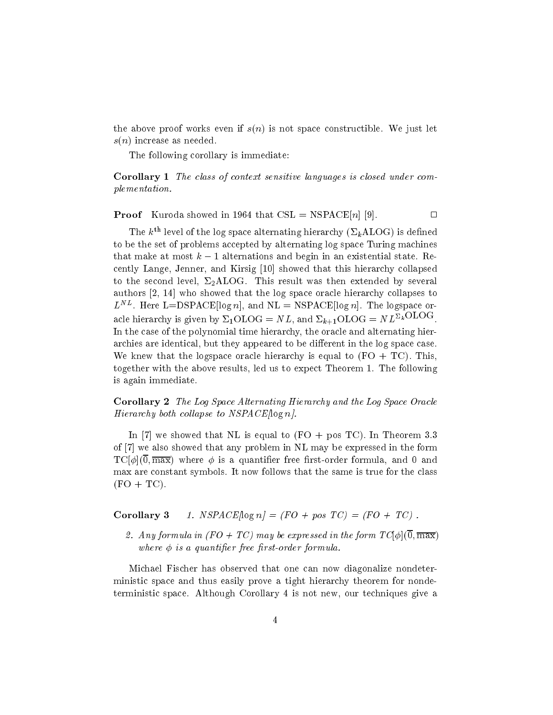the above proof works even if  $s(n)$  is not space constructible. We just let  $s(n)$  increase as needed.

The following corollary is immediate:

Corollary 1 The class of context sensitive languages is closed under complementation

 $\Box$ Proof Kuroda showed in that CSL NSPACE n 

The  $k^{\text{th}}$  level of the log space alternating hierarchy ( $\Sigma_k\text{ALOG}$ ) is defined to be the set of problems accepted by alternating log space Turing machines that make at most  $k-1$  alternations and begin in an existential state. Recentry Langer Centre, which collapsed that the this hierarchy collapsed to collapse the collapsed that the collapsed that the collapsed that the collapsed that the collapsed that the collapsed that the collapsed that the c to the second level,  $\Sigma_2$ ALOG. This result was then extended by several who showed that the log space oracle that the log space or collapses the log space or to the log space to the  $L^{\sim}$ . Here  $L =$  DSPACE 10g n, and NL = NSPACE 10g n). The logspace oracle merarchy is given by  $\Delta_1$ OLOG = N L, and  $\Delta_{k+1}$ OLOG = N L<sup>-k  $\sim$  -  $\sim$  .</sup> In the case of the polynomial time hierarchy the oracle and alternating hierarchies are identical, but they appeared to be different in the log space case. We knew that the logspace oracle hierarchy is equal to  $(FO + TC)$ . This, together with the above results, led us to expect Theorem 1. The following is again immediate

Corollary 2 The Log Space Alternating Hierarchy and the Log Space Oracle Hierarchy both collapse to  $NSPACE/\log n$ .

In we showed that NL is equal to FO pos TC In Theorem of it also showed that also showed that any problem in the form in the form of the form of the form in the form in the form in the form in the form in the form in the form in the form in the form in the form in the form in TC - max where is a quantier free rst-order formula and and max are constant symbols. It now follows that the same is true for the class  $(FO + TC).$ 

Corollary NSPACElog n -FOpos TC -FO TC

any formula in the form the form the form the form the form the form the form the form the form the form the f where  $\phi$  is a quantifier free first-order formula.

Michael Fischer has observed that one can now diagonalize nondeterministic space and thus easily prove a tight hierarchy theorem for nondeterministic space. Although Corollary 4 is not new, our techniques give a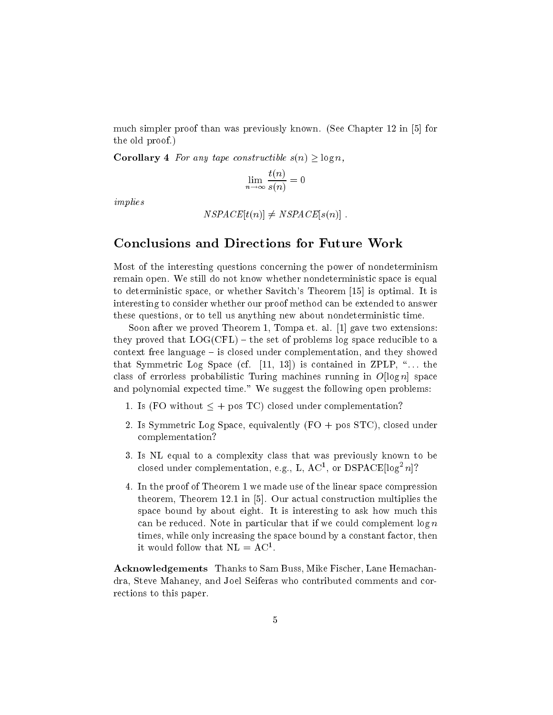much simpler proof than  $\alpha$  that was previously than  $\alpha$  over  $\alpha$  much see The Indian  $\alpha$ the old proof

**Corollary 4** For any tape constructible  $s(n) \geq \log n$ ,

$$
\lim_{n \to \infty} \frac{t(n)}{s(n)} = 0
$$

implies

```
the second contract of the second contract of the second contract of the second contract of the second contract of the second contract of the second contract of the second contract of the second contract of the second cont
```
#### Conclusions and Directions for Future Work

Most of the interesting questions concerning the power of nondeterminism remain open. We still do not know whether nondeterministic space is equal to determine the space of the complete space or measurem  $|$  is the complete  $\sim$ interesting to consider whether our proof method can be extended to answer these questions, or to tell us anything new about nondeterministic time.

soon after we proved the proved Theorem International Section and the section of the section of the section of they proved that  $LOG(CFL)$  – the set of problems log space reducible to a  $context$  free language  $-$  is closed under complementation, and they showed that Symmetric  $\alpha$  is pace (i.e.  $\alpha$  ) is contained in  $\alpha$  . The  $\alpha$ class of classical probabilities - difficulties running influence of  $\sim$   $\sim$   $\sim$   $\sim$   $\sim$   $\sim$   $\sim$ and polynomial expected time." We suggest the following open problems:

- 1. Is (FO without  $\leq$  + pos TC) closed under complementation?
- 2. Is Symmetric Log Space, equivalently  $(FO + pos STC)$ , closed under complementation
- Is NL equal to a complexity class that was previously known to be closed under complementation, e.g., L,  $A\mathcal{C}^*$ , or DSPACE $\text{Flog}^* n$  :
- 4. In the proof of Theorem 1 we made use of the linear space compression theorem Theorem Theorem Islam and the construction multiplies theorem and the construction of the construction of  $\sim$ space bound by about eight. It is interesting to ask how much this can be reduced. Note in particular that if we could complement  $\log n$ times, while only increasing the space bound by a constant factor, then it would follow that  $\mathbf{N} \mathbf{L} = \mathbf{A} \mathbf{C}^T$ .

Acknowledgements Thanks to Sam Buss, Mike Fischer, Lane Hemachandra, Steve Mahaney, and Joel Seiferas who contributed comments and corrections to this paper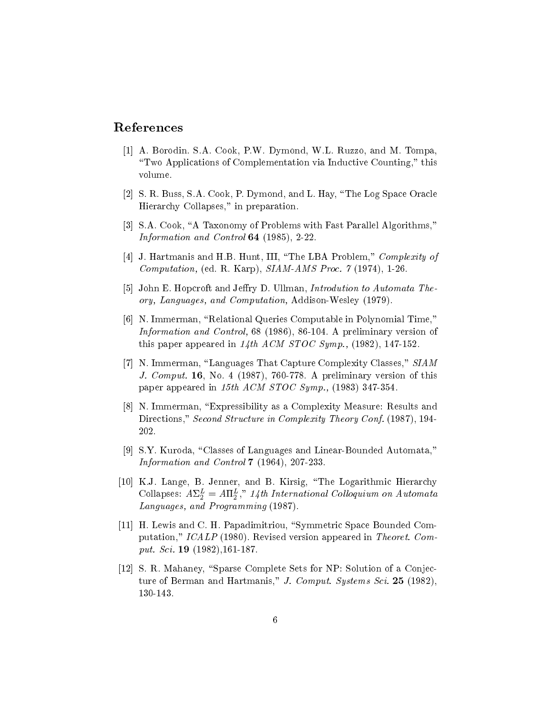### References

- A Borodin Sa Cook Public Public Public Public Public Public Public Public Public Public Public Public Public P "Two Applications of Complementation via Inductive Counting," this volume
- $S$  and  $S$  business SA  $S$  and Log Space Oracle  $M$  Dymond and Log Space Oracle  $M$ Hierarchy Collapses," in preparation.
- SA Cook A Taxonomy of Problems with Fast Parallel Algorithms Information and Control -
- J Hartman III The Latin III The Latin III The Latin Complexity of Latin Complexity of Latin Complexity of Latin Complexity of Latin Complexity of Latin Complexity of Latin Complexity of Latin Complexity of Latin Complexity Computation is the R K Computation of the R Karp SIAMAMS Processing the R Karp SIAMAMS Processing the R Karp S
- John E Hopcroft and Jery D Ullman Introdution to Automata The ory Languages and Computation Addison-Wesley
- N Immerman Relational Queries Computable in Polynomial Time Information and Control 

- A preliminary version of this paper appeared in the ACM STOC Symphony of the ACM STOC Symphony and the ACM STOC Symphony and appeared a
- $\mathcal{N}$  is the complex Language That  $\mathcal{N}$  capture  $\mathcal{N}$  complexity  $\mathcal{N}$  . Complexity  $\mathcal{N}$  is the complexity  $\mathcal{N}$ J Comput No 
 - A preliminary version of this paper appeared in the ACM STOC Sympathetic Sympathy and ACM STOC Sympathy and ACM STOC Sympathy and ACM STOC S
- N Immerman Expressibility as a Complexity Measure Results and Directions," Second Structure in Complexity Theory Conf. (1987), 194-202.
- SY Kuroda Classes of Languages and Linear-Bounded Automata Information and Control and Control and Control and Control and Control and Control and Control and Control and
- $K$  , and B  $K$  and B  $K$  and B  $K$  and B  $K$  and B  $K$ Conapses:  $A \triangleq \overline{2} = A \Pi \overline{2}$ ," 14th International Conoquium on Automata Languages, and Programming (1987).
- $\mathcal{L} = \mathcal{L}$  . Here  $\mathcal{L} = \mathcal{L}$  and  $\mathcal{L} = \mathcal{L}$  and  $\mathcal{L} = \mathcal{L}$  . The space  $\mathcal{L} = \mathcal{L}$ putation,"  $ICALP$  (1980). Revised version appeared in Theoret. Comput Sci -
- S R Mahaney Sparse Complete Sets for NP Solution of a Conjecture of Berman and Hartmanis," J. Comput. Systems Sci. 25 (1982),